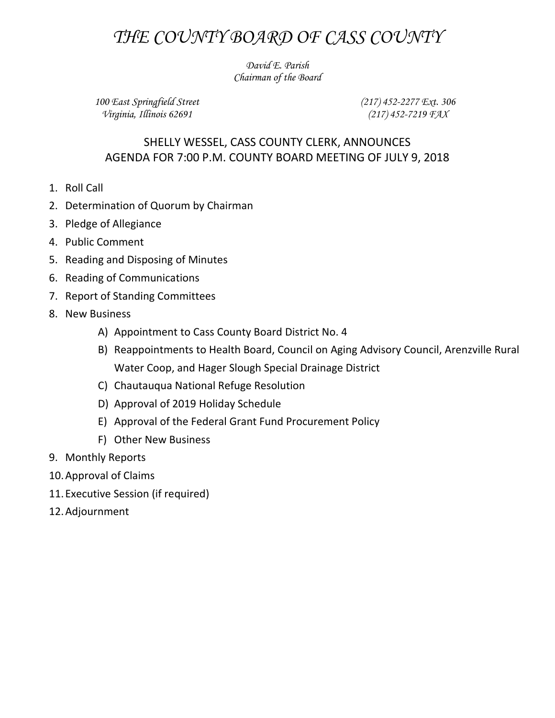## *THE COUNTY BOARD OF CASS COUNTY*

*David E. Parish Chairman of the Board*

*100 East Springfield Street Virginia, Illinois 62691*

*(217) 452-2277 Ext. 306 (217) 452-7219 FAX*

## SHELLY WESSEL, CASS COUNTY CLERK, ANNOUNCES AGENDA FOR 7:00 P.M. COUNTY BOARD MEETING OF JULY 9, 2018

- 1. Roll Call
- 2. Determination of Quorum by Chairman
- 3. Pledge of Allegiance
- 4. Public Comment
- 5. Reading and Disposing of Minutes
- 6. Reading of Communications
- 7. Report of Standing Committees
- 8. New Business
	- A) Appointment to Cass County Board District No. 4
	- B) Reappointments to Health Board, Council on Aging Advisory Council, Arenzville Rural Water Coop, and Hager Slough Special Drainage District
	- C) Chautauqua National Refuge Resolution
	- D) Approval of 2019 Holiday Schedule
	- E) Approval of the Federal Grant Fund Procurement Policy
	- F) Other New Business
- 9. Monthly Reports
- 10.Approval of Claims
- 11.Executive Session (if required)
- 12.Adjournment